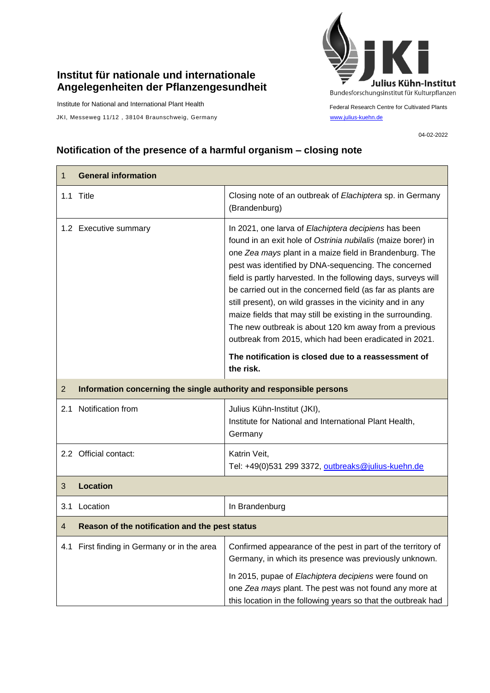## **Institut für nationale und internationale Angelegenheiten der Pflanzengesundheit**

Institute for National and International Plant Health

JKI, Messeweg 11/12, 38104 Braunschweig, Germany [www.julius-kuehn.de](http://www.julius-kuehn.de/)



Federal Research Centre for Cultivated Plants

04-02-2022

## **Notification of the presence of a harmful organism – closing note**

| 1              | <b>General information</b>                                          |                                                                                                                                                                                                                                                                                                                                                                                                                                                                                                                                                                                                                          |  |
|----------------|---------------------------------------------------------------------|--------------------------------------------------------------------------------------------------------------------------------------------------------------------------------------------------------------------------------------------------------------------------------------------------------------------------------------------------------------------------------------------------------------------------------------------------------------------------------------------------------------------------------------------------------------------------------------------------------------------------|--|
|                | 1.1 Title                                                           | Closing note of an outbreak of Elachiptera sp. in Germany<br>(Brandenburg)                                                                                                                                                                                                                                                                                                                                                                                                                                                                                                                                               |  |
|                | 1.2 Executive summary                                               | In 2021, one larva of Elachiptera decipiens has been<br>found in an exit hole of Ostrinia nubilalis (maize borer) in<br>one Zea mays plant in a maize field in Brandenburg. The<br>pest was identified by DNA-sequencing. The concerned<br>field is partly harvested. In the following days, surveys will<br>be carried out in the concerned field (as far as plants are<br>still present), on wild grasses in the vicinity and in any<br>maize fields that may still be existing in the surrounding.<br>The new outbreak is about 120 km away from a previous<br>outbreak from 2015, which had been eradicated in 2021. |  |
|                |                                                                     | The notification is closed due to a reassessment of<br>the risk.                                                                                                                                                                                                                                                                                                                                                                                                                                                                                                                                                         |  |
| $\overline{2}$ | Information concerning the single authority and responsible persons |                                                                                                                                                                                                                                                                                                                                                                                                                                                                                                                                                                                                                          |  |
|                | 2.1 Notification from                                               | Julius Kühn-Institut (JKI),<br>Institute for National and International Plant Health,<br>Germany                                                                                                                                                                                                                                                                                                                                                                                                                                                                                                                         |  |
|                | 2.2 Official contact:                                               | Katrin Veit,<br>Tel: +49(0)531 299 3372, outbreaks@julius-kuehn.de                                                                                                                                                                                                                                                                                                                                                                                                                                                                                                                                                       |  |
| 3              | <b>Location</b>                                                     |                                                                                                                                                                                                                                                                                                                                                                                                                                                                                                                                                                                                                          |  |
| 3.1            | Location                                                            | In Brandenburg                                                                                                                                                                                                                                                                                                                                                                                                                                                                                                                                                                                                           |  |
| 4              | Reason of the notification and the pest status                      |                                                                                                                                                                                                                                                                                                                                                                                                                                                                                                                                                                                                                          |  |
|                | 4.1 First finding in Germany or in the area                         | Confirmed appearance of the pest in part of the territory of<br>Germany, in which its presence was previously unknown.<br>In 2015, pupae of Elachiptera decipiens were found on<br>one Zea mays plant. The pest was not found any more at<br>this location in the following years so that the outbreak had                                                                                                                                                                                                                                                                                                               |  |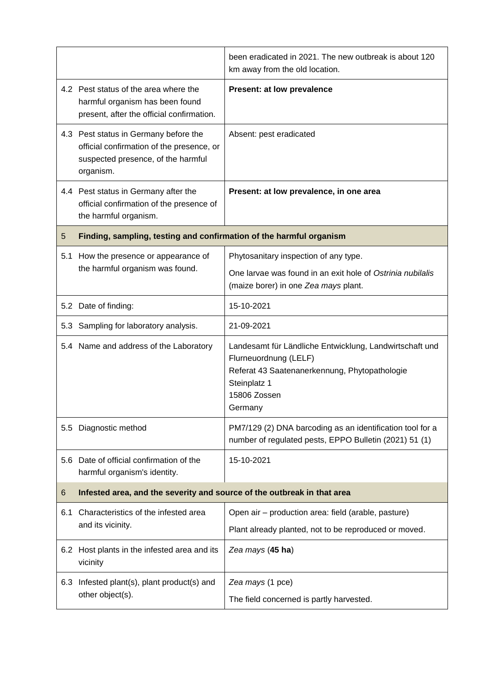|     |                                                                                                                                       | been eradicated in 2021. The new outbreak is about 120<br>km away from the old location.                                                                                     |  |
|-----|---------------------------------------------------------------------------------------------------------------------------------------|------------------------------------------------------------------------------------------------------------------------------------------------------------------------------|--|
|     | 4.2 Pest status of the area where the<br>harmful organism has been found<br>present, after the official confirmation.                 | <b>Present: at low prevalence</b>                                                                                                                                            |  |
|     | 4.3 Pest status in Germany before the<br>official confirmation of the presence, or<br>suspected presence, of the harmful<br>organism. | Absent: pest eradicated                                                                                                                                                      |  |
|     | 4.4 Pest status in Germany after the<br>official confirmation of the presence of<br>the harmful organism.                             | Present: at low prevalence, in one area                                                                                                                                      |  |
| 5   | Finding, sampling, testing and confirmation of the harmful organism                                                                   |                                                                                                                                                                              |  |
| 5.1 | How the presence or appearance of                                                                                                     | Phytosanitary inspection of any type.                                                                                                                                        |  |
|     | the harmful organism was found.                                                                                                       | One larvae was found in an exit hole of Ostrinia nubilalis<br>(maize borer) in one Zea mays plant.                                                                           |  |
|     | 5.2 Date of finding:                                                                                                                  | 15-10-2021                                                                                                                                                                   |  |
|     | 5.3 Sampling for laboratory analysis.                                                                                                 | 21-09-2021                                                                                                                                                                   |  |
|     | 5.4 Name and address of the Laboratory                                                                                                | Landesamt für Ländliche Entwicklung, Landwirtschaft und<br>Flurneuordnung (LELF)<br>Referat 43 Saatenanerkennung, Phytopathologie<br>Steinplatz 1<br>15806 Zossen<br>Germany |  |
| 5.5 | Diagnostic method                                                                                                                     | PM7/129 (2) DNA barcoding as an identification tool for a<br>number of regulated pests, EPPO Bulletin (2021) 51 (1)                                                          |  |
| 5.6 | Date of official confirmation of the<br>harmful organism's identity.                                                                  | 15-10-2021                                                                                                                                                                   |  |
| 6   | Infested area, and the severity and source of the outbreak in that area                                                               |                                                                                                                                                                              |  |
| 6.1 | Characteristics of the infested area<br>and its vicinity.                                                                             | Open air - production area: field (arable, pasture)                                                                                                                          |  |
|     |                                                                                                                                       | Plant already planted, not to be reproduced or moved.                                                                                                                        |  |
|     | 6.2 Host plants in the infested area and its<br>vicinity                                                                              | Zea mays (45 ha)                                                                                                                                                             |  |
| 6.3 | Infested plant(s), plant product(s) and<br>other object(s).                                                                           | Zea mays (1 pce)                                                                                                                                                             |  |
|     |                                                                                                                                       | The field concerned is partly harvested.                                                                                                                                     |  |